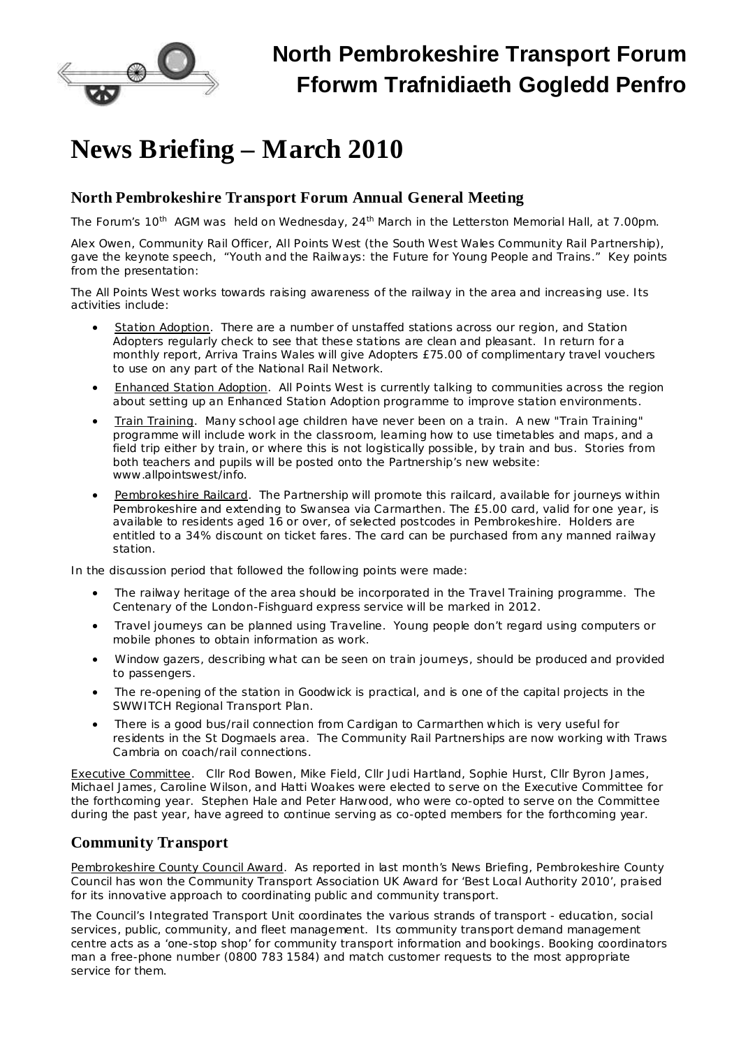

## **North Pembrokeshire Transport Forum Fforwm Trafnidiaeth Gogledd Penfro**

# **News Briefing – March 2010**

#### **North Pembrokeshire Transport Forum Annual General Meeting**

The Forum's 10<sup>th</sup> AGM was held on Wednesday, 24<sup>th</sup> March in the Letterston Memorial Hall, at 7.00pm.

Alex Owen, Community Rail Officer, All Points West (the South West Wales Community Rail Partnership), gave the keynote speech, "Youth and the Railways: the Future for Young People and Trains." Key points from the presentation:

The All Points West works towards raising awareness of the railway in the area and increasing use. Its activities include:

- Station Adoption. There are a number of unstaffed stations across our region, and Station Adopters regularly check to see that these stations are clean and pleasant. In return for a monthly report, Arriva Trains Wales will give Adopters £75.00 of complimentary travel vouchers to use on any part of the National Rail Network.
- · Enhanced Station Adoption. All Points West is currently talking to communities across the region about setting up an Enhanced Station Adoption programme to improve station environments.
- · Train Training. Many school age children have never been on a train. A new "Train Training" programme will include work in the classroom, learning how to use timetables and maps, and a field trip either by train, or where this is not logistically possible, by train and bus. Stories from both teachers and pupils will be posted onto the Partnership's new website: [www.allpointswest/info.](http://www.allpointswest/info)
- Pembrokeshire Railcard. The Partnership will promote this railcard, available for journeys within Pembrokeshire and extending to Swansea via Carmarthen. The £5.00 card, valid for one year, is available to residents aged 16 or over, of selected postcodes in Pembrokeshire. Holders are entitled to a 34% discount on ticket fares. The card can be purchased from any manned railway station.

In the discussion period that followed the following points were made:

- · The railway heritage of the area should be incorporated in the Travel Training programme. The Centenary of the London-Fishguard express service will be marked in 2012.
- · Travel journeys can be planned using Traveline. Young people don't regard using computers or mobile phones to obtain information as work.
- · Window gazers, describing what can be seen on train journeys, should be produced and provided to passengers.
- The re-opening of the station in Goodwick is practical, and is one of the capital projects in the SWWITCH Regional Transport Plan.
- There is a good bus/rail connection from Cardigan to Carmarthen which is very useful for residents in the St Dogmaels area. The Community Rail Partnerships are now working with Traws Cambria on coach/rail connections.

Executive Committee. Cllr Rod Bowen, Mike Field, Cllr Judi Hartland, Sophie Hurst, Cllr Byron James, Michael James, Caroline Wilson, and Hatti Woakes were elected to serve on the Executive Committee for the forthcoming year. Stephen Hale and Peter Harwood, who were co-opted to serve on the Committee during the past year, have agreed to continue serving as co-opted members for the forthcoming year.

#### **Community Transport**

Pembrokeshire County Council Award. As reported in last month's News Briefing, Pembrokeshire County Council has won the Community Transport Association UK Award for 'Best Local Authority 2010', praised for its innovative approach to coordinating public and community transport.

The Council's Integrated Transport Unit coordinates the various strands of transport - education, social services, public, community, and fleet management. Its community transport demand management centre acts as a 'one-stop shop' for community transport information and bookings. Booking coordinators man a free-phone number (0800 783 1584) and match customer requests to the most appropriate service for them.